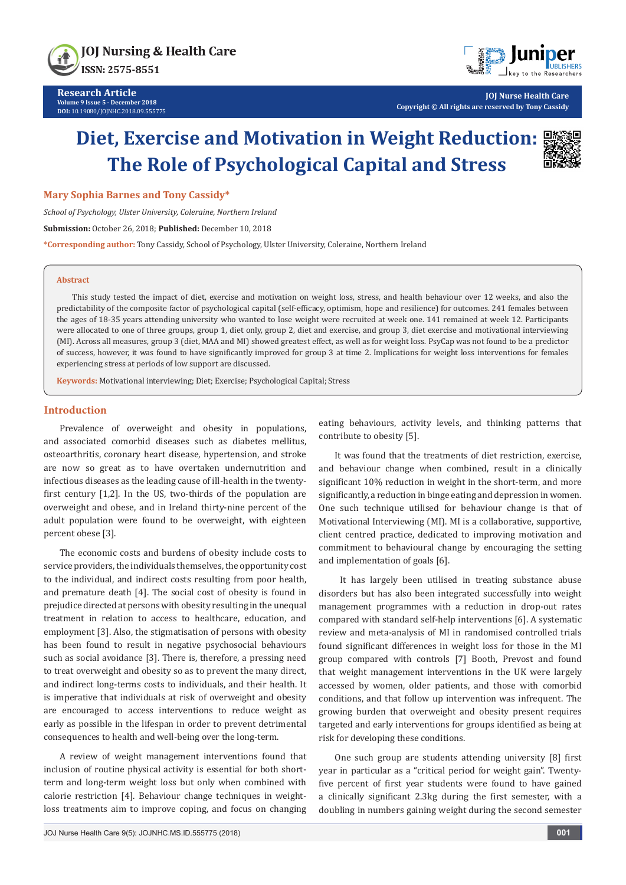



**JOJ Nurse Health Care Copyright © All rights are reserved by Tony Cassidy**

# **Diet, Exercise and Motivation in Weight Reduction: The Role of Psychological Capital and Stress**



#### **Mary Sophia Barnes and Tony Cassidy\***

*School of Psychology, Ulster University, Coleraine, Northern Ireland*

**Submission:** October 26, 2018; **Published:** December 10, 2018

**\*Corresponding author:** Tony Cassidy, School of Psychology, Ulster University, Coleraine, Northern Ireland

#### **Abstract**

This study tested the impact of diet, exercise and motivation on weight loss, stress, and health behaviour over 12 weeks, and also the predictability of the composite factor of psychological capital (self-efficacy, optimism, hope and resilience) for outcomes. 241 females between the ages of 18-35 years attending university who wanted to lose weight were recruited at week one. 141 remained at week 12. Participants were allocated to one of three groups, group 1, diet only, group 2, diet and exercise, and group 3, diet exercise and motivational interviewing (MI). Across all measures, group 3 (diet, MAA and MI) showed greatest effect, as well as for weight loss. PsyCap was not found to be a predictor of success, however, it was found to have significantly improved for group 3 at time 2. Implications for weight loss interventions for females experiencing stress at periods of low support are discussed.

**Keywords:** Motivational interviewing; Diet; Exercise; Psychological Capital; Stress

### **Introduction**

Prevalence of overweight and obesity in populations, and associated comorbid diseases such as diabetes mellitus, osteoarthritis, coronary heart disease, hypertension, and stroke are now so great as to have overtaken undernutrition and infectious diseases as the leading cause of ill-health in the twentyfirst century [1,2]. In the US, two-thirds of the population are overweight and obese, and in Ireland thirty-nine percent of the adult population were found to be overweight, with eighteen percent obese [3].

The economic costs and burdens of obesity include costs to service providers, the individuals themselves, the opportunity cost to the individual, and indirect costs resulting from poor health, and premature death [4]. The social cost of obesity is found in prejudice directed at persons with obesity resulting in the unequal treatment in relation to access to healthcare, education, and employment [3]. Also, the stigmatisation of persons with obesity has been found to result in negative psychosocial behaviours such as social avoidance [3]. There is, therefore, a pressing need to treat overweight and obesity so as to prevent the many direct, and indirect long-terms costs to individuals, and their health. It is imperative that individuals at risk of overweight and obesity are encouraged to access interventions to reduce weight as early as possible in the lifespan in order to prevent detrimental consequences to health and well-being over the long-term.

A review of weight management interventions found that inclusion of routine physical activity is essential for both shortterm and long-term weight loss but only when combined with calorie restriction [4]. Behaviour change techniques in weightloss treatments aim to improve coping, and focus on changing eating behaviours, activity levels, and thinking patterns that contribute to obesity [5].

It was found that the treatments of diet restriction, exercise, and behaviour change when combined, result in a clinically significant 10% reduction in weight in the short-term, and more significantly, a reduction in binge eating and depression in women. One such technique utilised for behaviour change is that of Motivational Interviewing (MI). MI is a collaborative, supportive, client centred practice, dedicated to improving motivation and commitment to behavioural change by encouraging the setting and implementation of goals [6].

 It has largely been utilised in treating substance abuse disorders but has also been integrated successfully into weight management programmes with a reduction in drop-out rates compared with standard self-help interventions [6]. A systematic review and meta-analysis of MI in randomised controlled trials found significant differences in weight loss for those in the MI group compared with controls [7] Booth, Prevost and found that weight management interventions in the UK were largely accessed by women, older patients, and those with comorbid conditions, and that follow up intervention was infrequent. The growing burden that overweight and obesity present requires targeted and early interventions for groups identified as being at risk for developing these conditions.

One such group are students attending university [8] first year in particular as a "critical period for weight gain". Twentyfive percent of first year students were found to have gained a clinically significant 2.3kg during the first semester, with a doubling in numbers gaining weight during the second semester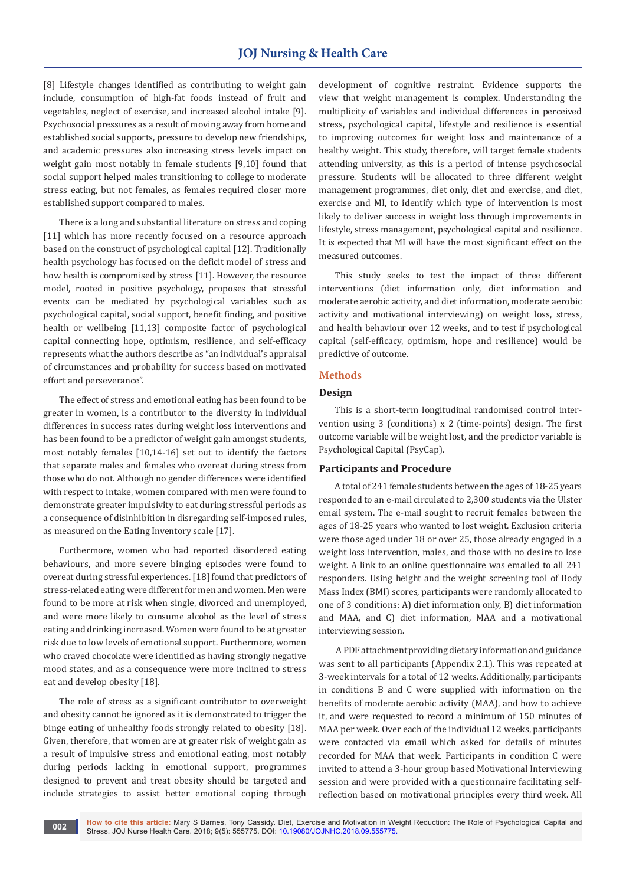# **JOJ Nursing & Health Care**

[8] Lifestyle changes identified as contributing to weight gain include, consumption of high-fat foods instead of fruit and vegetables, neglect of exercise, and increased alcohol intake [9]. Psychosocial pressures as a result of moving away from home and established social supports, pressure to develop new friendships, and academic pressures also increasing stress levels impact on weight gain most notably in female students [9,10] found that social support helped males transitioning to college to moderate stress eating, but not females, as females required closer more established support compared to males.

There is a long and substantial literature on stress and coping [11] which has more recently focused on a resource approach based on the construct of psychological capital [12]. Traditionally health psychology has focused on the deficit model of stress and how health is compromised by stress [11]. However, the resource model, rooted in positive psychology, proposes that stressful events can be mediated by psychological variables such as psychological capital, social support, benefit finding, and positive health or wellbeing [11,13] composite factor of psychological capital connecting hope, optimism, resilience, and self-efficacy represents what the authors describe as "an individual's appraisal of circumstances and probability for success based on motivated effort and perseverance".

The effect of stress and emotional eating has been found to be greater in women, is a contributor to the diversity in individual differences in success rates during weight loss interventions and has been found to be a predictor of weight gain amongst students, most notably females [10,14-16] set out to identify the factors that separate males and females who overeat during stress from those who do not. Although no gender differences were identified with respect to intake, women compared with men were found to demonstrate greater impulsivity to eat during stressful periods as a consequence of disinhibition in disregarding self-imposed rules, as measured on the Eating Inventory scale [17].

Furthermore, women who had reported disordered eating behaviours, and more severe binging episodes were found to overeat during stressful experiences. [18] found that predictors of stress-related eating were different for men and women. Men were found to be more at risk when single, divorced and unemployed, and were more likely to consume alcohol as the level of stress eating and drinking increased. Women were found to be at greater risk due to low levels of emotional support. Furthermore, women who craved chocolate were identified as having strongly negative mood states, and as a consequence were more inclined to stress eat and develop obesity [18].

The role of stress as a significant contributor to overweight and obesity cannot be ignored as it is demonstrated to trigger the binge eating of unhealthy foods strongly related to obesity [18]. Given, therefore, that women are at greater risk of weight gain as a result of impulsive stress and emotional eating, most notably during periods lacking in emotional support, programmes designed to prevent and treat obesity should be targeted and include strategies to assist better emotional coping through

development of cognitive restraint. Evidence supports the view that weight management is complex. Understanding the multiplicity of variables and individual differences in perceived stress, psychological capital, lifestyle and resilience is essential to improving outcomes for weight loss and maintenance of a healthy weight. This study, therefore, will target female students attending university, as this is a period of intense psychosocial pressure. Students will be allocated to three different weight management programmes, diet only, diet and exercise, and diet, exercise and MI, to identify which type of intervention is most likely to deliver success in weight loss through improvements in lifestyle, stress management, psychological capital and resilience. It is expected that MI will have the most significant effect on the measured outcomes.

This study seeks to test the impact of three different interventions (diet information only, diet information and moderate aerobic activity, and diet information, moderate aerobic activity and motivational interviewing) on weight loss, stress, and health behaviour over 12 weeks, and to test if psychological capital (self-efficacy, optimism, hope and resilience) would be predictive of outcome.

## **Methods**

#### **Design**

This is a short-term longitudinal randomised control intervention using 3 (conditions) x 2 (time-points) design. The first outcome variable will be weight lost, and the predictor variable is Psychological Capital (PsyCap).

#### **Participants and Procedure**

A total of 241 female students between the ages of 18-25 years responded to an e-mail circulated to 2,300 students via the Ulster email system. The e-mail sought to recruit females between the ages of 18-25 years who wanted to lost weight. Exclusion criteria were those aged under 18 or over 25, those already engaged in a weight loss intervention, males, and those with no desire to lose weight. A link to an online questionnaire was emailed to all 241 responders. Using height and the weight screening tool of Body Mass Index (BMI) scores, participants were randomly allocated to one of 3 conditions: A) diet information only, B) diet information and MAA, and C) diet information, MAA and a motivational interviewing session.

 A PDF attachment providing dietary information and guidance was sent to all participants (Appendix 2.1). This was repeated at 3-week intervals for a total of 12 weeks. Additionally, participants in conditions B and C were supplied with information on the benefits of moderate aerobic activity (MAA), and how to achieve it, and were requested to record a minimum of 150 minutes of MAA per week. Over each of the individual 12 weeks, participants were contacted via email which asked for details of minutes recorded for MAA that week. Participants in condition C were invited to attend a 3-hour group based Motivational Interviewing session and were provided with a questionnaire facilitating selfreflection based on motivational principles every third week. All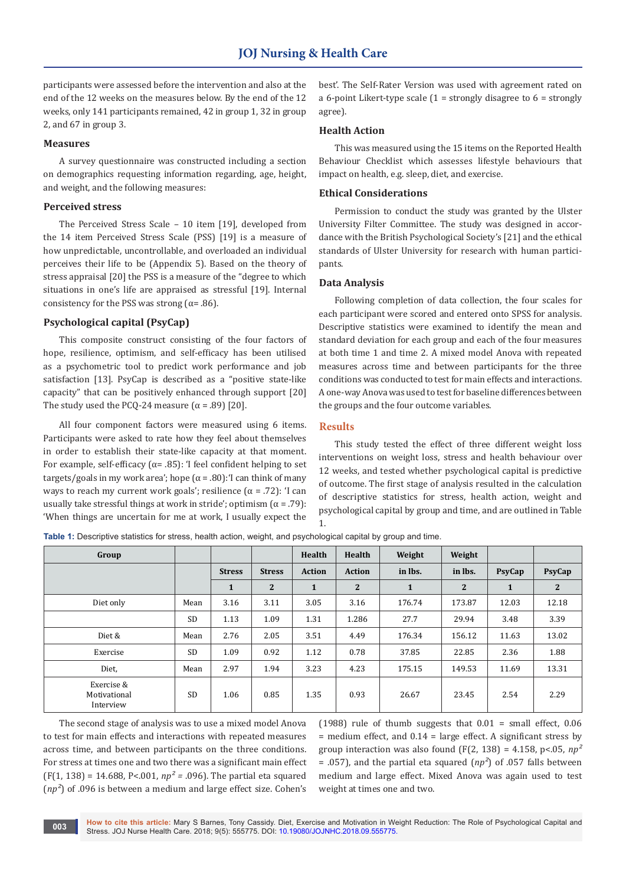participants were assessed before the intervention and also at the end of the 12 weeks on the measures below. By the end of the 12 weeks, only 141 participants remained, 42 in group 1, 32 in group 2, and 67 in group 3.

#### **Measures**

A survey questionnaire was constructed including a section on demographics requesting information regarding, age, height, and weight, and the following measures:

#### **Perceived stress**

The Perceived Stress Scale – 10 item [19], developed from the 14 item Perceived Stress Scale (PSS) [19] is a measure of how unpredictable, uncontrollable, and overloaded an individual perceives their life to be (Appendix 5). Based on the theory of stress appraisal [20] the PSS is a measure of the "degree to which situations in one's life are appraised as stressful [19]. Internal consistency for the PSS was strong ( $\alpha$ = .86).

#### **Psychological capital (PsyCap)**

This composite construct consisting of the four factors of hope, resilience, optimism, and self-efficacy has been utilised as a psychometric tool to predict work performance and job satisfaction [13]. PsyCap is described as a "positive state-like capacity" that can be positively enhanced through support [20] The study used the PCQ-24 measure  $(\alpha = .89)$  [20].

All four component factors were measured using 6 items. Participants were asked to rate how they feel about themselves in order to establish their state-like capacity at that moment. For example, self-efficacy ( $\alpha$ = .85): 'I feel confident helping to set targets/goals in my work area'; hope (α = .80):'I can think of many ways to reach my current work goals'; resilience  $(\alpha = .72)$ : 'I can usually take stressful things at work in stride'; optimism  $(\alpha = .79)$ : 'When things are uncertain for me at work, I usually expect the

best'. The Self-Rater Version was used with agreement rated on a 6-point Likert-type scale  $(1 =$  strongly disagree to  $6 =$  strongly agree).

#### **Health Action**

This was measured using the 15 items on the Reported Health Behaviour Checklist which assesses lifestyle behaviours that impact on health, e.g. sleep, diet, and exercise.

#### **Ethical Considerations**

Permission to conduct the study was granted by the Ulster University Filter Committee. The study was designed in accordance with the British Psychological Society's [21] and the ethical standards of Ulster University for research with human participants.

#### **Data Analysis**

Following completion of data collection, the four scales for each participant were scored and entered onto SPSS for analysis. Descriptive statistics were examined to identify the mean and standard deviation for each group and each of the four measures at both time 1 and time 2. A mixed model Anova with repeated measures across time and between participants for the three conditions was conducted to test for main effects and interactions. A one-way Anova was used to test for baseline differences between the groups and the four outcome variables.

#### **Results**

This study tested the effect of three different weight loss interventions on weight loss, stress and health behaviour over 12 weeks, and tested whether psychological capital is predictive of outcome. The first stage of analysis resulted in the calculation of descriptive statistics for stress, health action, weight and psychological capital by group and time, and are outlined in Table 1.

| Group                                   |           |               |                | Health        | Health        | Weight       | Weight       |              |              |
|-----------------------------------------|-----------|---------------|----------------|---------------|---------------|--------------|--------------|--------------|--------------|
|                                         |           | <b>Stress</b> | <b>Stress</b>  | <b>Action</b> | <b>Action</b> | in lbs.      | in lbs.      | PsyCap       | PsyCap       |
|                                         |           | $\mathbf{1}$  | $\overline{2}$ | $\mathbf{1}$  | $\mathbf{2}$  | $\mathbf{1}$ | $\mathbf{2}$ | $\mathbf{1}$ | $\mathbf{2}$ |
| Diet only                               | Mean      | 3.16          | 3.11           | 3.05          | 3.16          | 176.74       | 173.87       | 12.03        | 12.18        |
|                                         | <b>SD</b> | 1.13          | 1.09           | 1.31          | 1.286         | 27.7         | 29.94        | 3.48         | 3.39         |
| Diet &                                  | Mean      | 2.76          | 2.05           | 3.51          | 4.49          | 176.34       | 156.12       | 11.63        | 13.02        |
| Exercise                                | <b>SD</b> | 1.09          | 0.92           | 1.12          | 0.78          | 37.85        | 22.85        | 2.36         | 1.88         |
| Diet,                                   | Mean      | 2.97          | 1.94           | 3.23          | 4.23          | 175.15       | 149.53       | 11.69        | 13.31        |
| Exercise &<br>Motivational<br>Interview | <b>SD</b> | 1.06          | 0.85           | 1.35          | 0.93          | 26.67        | 23.45        | 2.54         | 2.29         |

**Table 1:** Descriptive statistics for stress, health action, weight, and psychological capital by group and time.

The second stage of analysis was to use a mixed model Anova to test for main effects and interactions with repeated measures across time, and between participants on the three conditions. For stress at times one and two there was a significant main effect (F(1, 138) = 14.688, P<.001, *np² =* .096). The partial eta squared (*np²*) of .096 is between a medium and large effect size. Cohen's (1988) rule of thumb suggests that 0.01 = small effect, 0.06  $=$  medium effect, and 0.14  $=$  large effect. A significant stress by group interaction was also found  $(F(2, 138) = 4.158, p < 0.05, np^2)$  $=$  .057), and the partial eta squared ( $np^2$ ) of .057 falls between medium and large effect. Mixed Anova was again used to test weight at times one and two.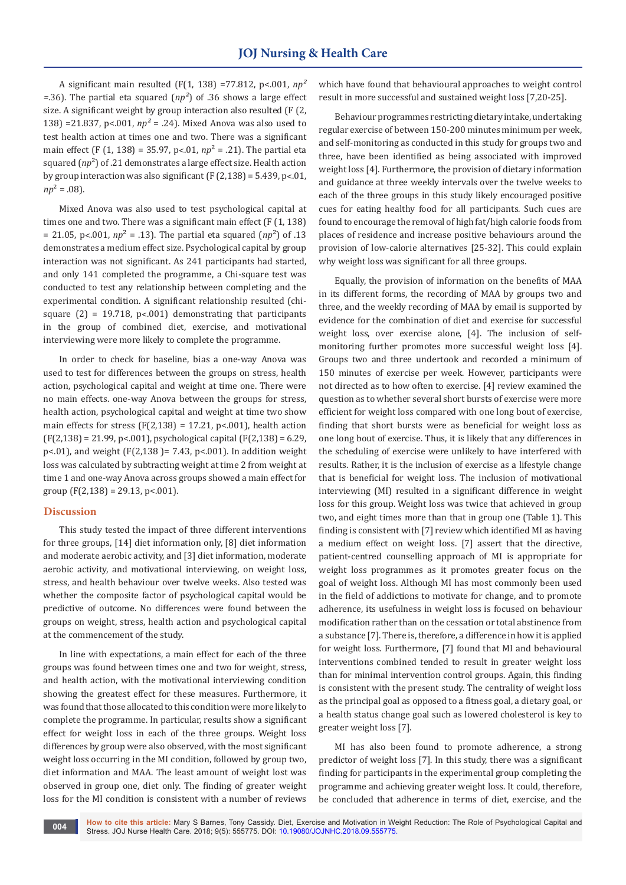A significant main resulted (F(1, 138) =77.812, p<.001, *np² =*.36). The partial eta squared (*np²*) of .36 shows a large effect size. A significant weight by group interaction also resulted (F (2, 138) =21.837, p<.001, *np²* = .24). Mixed Anova was also used to test health action at times one and two. There was a significant main effect (F (1, 138) = 35.97, p˂.01, *np*² = .21). The partial eta squared ( $np^2$ ) of .21 demonstrates a large effect size. Health action by group interaction was also significant (F  $(2,138) = 5.439$ , p<.01,  $np^2 = .08$ ).

Mixed Anova was also used to test psychological capital at times one and two. There was a significant main effect (F (1, 138) = 21.05, p<.001,  $np^2$  = .13). The partial eta squared  $(np^2)$  of .13 demonstrates a medium effect size. Psychological capital by group interaction was not significant. As 241 participants had started, and only 141 completed the programme, a Chi-square test was conducted to test any relationship between completing and the experimental condition. A significant relationship resulted (chisquare  $(2) = 19.718$ , p<.001) demonstrating that participants in the group of combined diet, exercise, and motivational interviewing were more likely to complete the programme.

In order to check for baseline, bias a one-way Anova was used to test for differences between the groups on stress, health action, psychological capital and weight at time one. There were no main effects. one-way Anova between the groups for stress, health action, psychological capital and weight at time two show main effects for stress (F(2,138) = 17.21, p<.001), health action (F(2,138) = 21.99, p<.001), psychological capital (F(2,138) = 6.29, p<.01), and weight (F(2,138 )= 7.43, p<.001). In addition weight loss was calculated by subtracting weight at time 2 from weight at time 1 and one-way Anova across groups showed a main effect for group  $(F(2, 138) = 29.13, p < 001)$ .

#### **Discussion**

This study tested the impact of three different interventions for three groups, [14] diet information only, [8] diet information and moderate aerobic activity, and [3] diet information, moderate aerobic activity, and motivational interviewing, on weight loss, stress, and health behaviour over twelve weeks. Also tested was whether the composite factor of psychological capital would be predictive of outcome. No differences were found between the groups on weight, stress, health action and psychological capital at the commencement of the study.

In line with expectations, a main effect for each of the three groups was found between times one and two for weight, stress, and health action, with the motivational interviewing condition showing the greatest effect for these measures. Furthermore, it was found that those allocated to this condition were more likely to complete the programme. In particular, results show a significant effect for weight loss in each of the three groups. Weight loss differences by group were also observed, with the most significant weight loss occurring in the MI condition, followed by group two, diet information and MAA. The least amount of weight lost was observed in group one, diet only. The finding of greater weight loss for the MI condition is consistent with a number of reviews

which have found that behavioural approaches to weight control result in more successful and sustained weight loss [7,20-25].

Behaviour programmes restricting dietary intake, undertaking regular exercise of between 150-200 minutes minimum per week, and self-monitoring as conducted in this study for groups two and three, have been identified as being associated with improved weight loss [4]. Furthermore, the provision of dietary information and guidance at three weekly intervals over the twelve weeks to each of the three groups in this study likely encouraged positive cues for eating healthy food for all participants. Such cues are found to encourage the removal of high fat/high calorie foods from places of residence and increase positive behaviours around the provision of low-calorie alternatives [25-32]. This could explain why weight loss was significant for all three groups.

Equally, the provision of information on the benefits of MAA in its different forms, the recording of MAA by groups two and three, and the weekly recording of MAA by email is supported by evidence for the combination of diet and exercise for successful weight loss, over exercise alone, [4]. The inclusion of selfmonitoring further promotes more successful weight loss [4]. Groups two and three undertook and recorded a minimum of 150 minutes of exercise per week. However, participants were not directed as to how often to exercise. [4] review examined the question as to whether several short bursts of exercise were more efficient for weight loss compared with one long bout of exercise, finding that short bursts were as beneficial for weight loss as one long bout of exercise. Thus, it is likely that any differences in the scheduling of exercise were unlikely to have interfered with results. Rather, it is the inclusion of exercise as a lifestyle change that is beneficial for weight loss. The inclusion of motivational interviewing (MI) resulted in a significant difference in weight loss for this group. Weight loss was twice that achieved in group two, and eight times more than that in group one (Table 1). This finding is consistent with [7] review which identified MI as having a medium effect on weight loss. [7] assert that the directive, patient-centred counselling approach of MI is appropriate for weight loss programmes as it promotes greater focus on the goal of weight loss. Although MI has most commonly been used in the field of addictions to motivate for change, and to promote adherence, its usefulness in weight loss is focused on behaviour modification rather than on the cessation or total abstinence from a substance [7]. There is, therefore, a difference in how it is applied for weight loss. Furthermore, [7] found that MI and behavioural interventions combined tended to result in greater weight loss than for minimal intervention control groups. Again, this finding is consistent with the present study. The centrality of weight loss as the principal goal as opposed to a fitness goal, a dietary goal, or a health status change goal such as lowered cholesterol is key to greater weight loss [7].

MI has also been found to promote adherence, a strong predictor of weight loss [7]. In this study, there was a significant finding for participants in the experimental group completing the programme and achieving greater weight loss. It could, therefore, be concluded that adherence in terms of diet, exercise, and the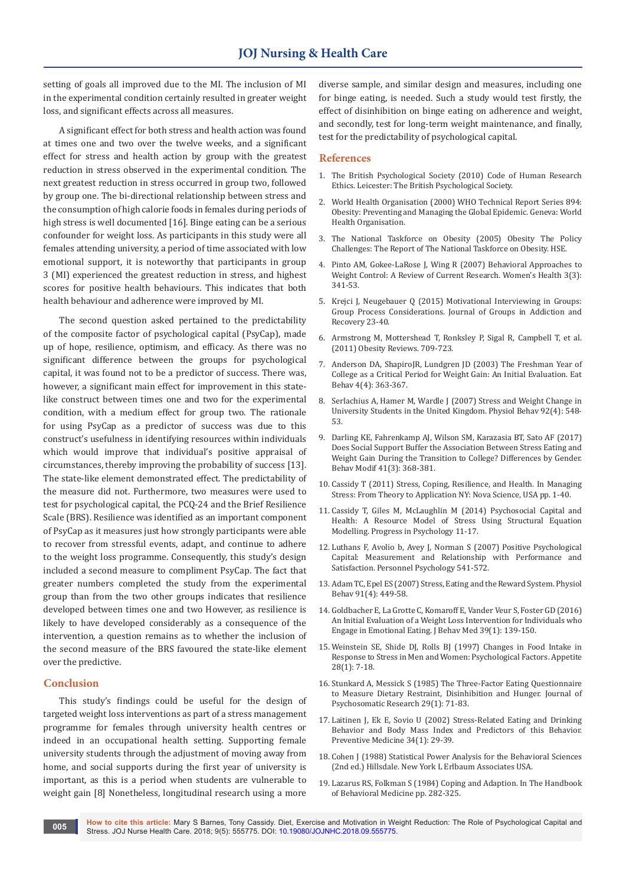setting of goals all improved due to the MI. The inclusion of MI in the experimental condition certainly resulted in greater weight loss, and significant effects across all measures.

A significant effect for both stress and health action was found at times one and two over the twelve weeks, and a significant effect for stress and health action by group with the greatest reduction in stress observed in the experimental condition. The next greatest reduction in stress occurred in group two, followed by group one. The bi-directional relationship between stress and the consumption of high calorie foods in females during periods of high stress is well documented [16]. Binge eating can be a serious confounder for weight loss. As participants in this study were all females attending university, a period of time associated with low emotional support, it is noteworthy that participants in group 3 (MI) experienced the greatest reduction in stress, and highest scores for positive health behaviours. This indicates that both health behaviour and adherence were improved by MI.

The second question asked pertained to the predictability of the composite factor of psychological capital (PsyCap), made up of hope, resilience, optimism, and efficacy. As there was no significant difference between the groups for psychological capital, it was found not to be a predictor of success. There was, however, a significant main effect for improvement in this statelike construct between times one and two for the experimental condition, with a medium effect for group two. The rationale for using PsyCap as a predictor of success was due to this construct's usefulness in identifying resources within individuals which would improve that individual's positive appraisal of circumstances, thereby improving the probability of success [13]. The state-like element demonstrated effect. The predictability of the measure did not. Furthermore, two measures were used to test for psychological capital, the PCQ-24 and the Brief Resilience Scale (BRS). Resilience was identified as an important component of PsyCap as it measures just how strongly participants were able to recover from stressful events, adapt, and continue to adhere to the weight loss programme. Consequently, this study's design included a second measure to compliment PsyCap. The fact that greater numbers completed the study from the experimental group than from the two other groups indicates that resilience developed between times one and two However, as resilience is likely to have developed considerably as a consequence of the intervention, a question remains as to whether the inclusion of the second measure of the BRS favoured the state-like element over the predictive.

#### **Conclusion**

This study's findings could be useful for the design of targeted weight loss interventions as part of a stress management programme for females through university health centres or indeed in an occupational health setting. Supporting female university students through the adjustment of moving away from home, and social supports during the first year of university is important, as this is a period when students are vulnerable to weight gain [8] Nonetheless, longitudinal research using a more

diverse sample, and similar design and measures, including one for binge eating, is needed. Such a study would test firstly, the effect of disinhibition on binge eating on adherence and weight, and secondly, test for long-term weight maintenance, and finally, test for the predictability of psychological capital.

#### **References**

- 1. [The British Psychological Society \(2010\) Code of Human Research](https://www1.bps.org.uk/system/files/Public%20files/inf180_web.pdf)  [Ethics. Leicester: The British Psychological Society.](https://www1.bps.org.uk/system/files/Public%20files/inf180_web.pdf)
- 2. [World Health Organisation \(2000\) WHO Technical Report Series 894:](C://Users/Welcome/Downloads/WHO_TRS_894%20(1).pdf)  [Obesity: Preventing and Managing the Global Epidemic. Geneva: World](C://Users/Welcome/Downloads/WHO_TRS_894%20(1).pdf)  [Health Organisation.](C://Users/Welcome/Downloads/WHO_TRS_894%20(1).pdf)
- 3. [The National Taskforce on Obesity \(2005\) Obesity The Policy](https://www.hse.ie/eng/health/child/healthyeating/taskforceonobesity.pdf)  [Challenges: The Report of The National Taskforce on Obesity. HSE.](https://www.hse.ie/eng/health/child/healthyeating/taskforceonobesity.pdf)
- 4. [Pinto AM, Gokee-LaRose J, Wing R \(2007\) Behavioral Approaches to](https://www.ncbi.nlm.nih.gov/pubmed/19803993)  [Weight Control: A Review of Current Research. Women's Health 3\(3\):](https://www.ncbi.nlm.nih.gov/pubmed/19803993)  [341-53.](https://www.ncbi.nlm.nih.gov/pubmed/19803993)
- 5. [Krejci J, Neugebauer Q \(2015\) Motivational Interviewing in Groups:](https://www.tandfonline.com/doi/abs/10.1080/1556035X.2015.999616)  [Group Process Considerations. Journal of Groups in Addiction and](https://www.tandfonline.com/doi/abs/10.1080/1556035X.2015.999616)  [Recovery 23-40.](https://www.tandfonline.com/doi/abs/10.1080/1556035X.2015.999616)
- 6. Armstrong M, Mottershead T, Ronksley P, Sigal R, Campbell T, et al. (2011) Obesity Reviews. 709-723.
- 7. [Anderson DA, ShapiroJR, Lundgren JD \(2003\) The Freshman Year of](https://www.ncbi.nlm.nih.gov/pubmed/15000962)  [College as a Critical Period for Weight Gain: An Initial Evaluation. Eat](https://www.ncbi.nlm.nih.gov/pubmed/15000962)  [Behav 4\(4\): 363-367.](https://www.ncbi.nlm.nih.gov/pubmed/15000962)
- 8. [Serlachius A, Hamer M, Wardle J \(2007\) Stress and Weight Change in](https://www.ncbi.nlm.nih.gov/pubmed/17537466)  [University Students in the United Kingdom. Physiol Behav 92\(4\): 548-](https://www.ncbi.nlm.nih.gov/pubmed/17537466) [53.](https://www.ncbi.nlm.nih.gov/pubmed/17537466)
- 9. [Darling KE, Fahrenkamp AJ, Wilson SM, Karazasia BT, Sato AF \(2017\)](https://www.ncbi.nlm.nih.gov/pubmed/28417682)  [Does Social Support Buffer the Association Between Stress Eating and](https://www.ncbi.nlm.nih.gov/pubmed/28417682)  [Weight Gain During the Transition to College? Differences by Gender.](https://www.ncbi.nlm.nih.gov/pubmed/28417682)  [Behav Modif 41\(3\): 368-381.](https://www.ncbi.nlm.nih.gov/pubmed/28417682)
- 10. Cassidy T (2011) Stress, Coping, Resilience, and Health. In Managing Stress: From Theory to Application NY: Nova Science, USA pp. 1-40.
- 11. Cassidy T, Giles M, McLaughlin M (2014) Psychosocial Capital and Health: A Resource Model of Stress Using Structural Equation Modelling. Progress in Psychology 11-17.
- 12. [Luthans F, Avolio b, Avey J, Norman S \(2007\) Positive Psychological](http://digitalcommons.unl.edu/cgi/viewcontent.cgi?article=1010&context=leadershipfacpub)  [Capital: Measurement and Relationship with Performance and](http://digitalcommons.unl.edu/cgi/viewcontent.cgi?article=1010&context=leadershipfacpub)  Satisfaction. [Personnel Psychology 541-572.](http://digitalcommons.unl.edu/cgi/viewcontent.cgi?article=1010&context=leadershipfacpub)
- 13. [Adam TC, Epel ES \(2007\) Stress, Eating and the Reward System. Physiol](https://www.ncbi.nlm.nih.gov/pubmed/17543357)  [Behav 91\(4\): 449-58.](https://www.ncbi.nlm.nih.gov/pubmed/17543357)
- 14. [Goldbacher E, La Grotte C, Komaroff E, Vander Veur S, Foster GD \(2016\)](https://www.ncbi.nlm.nih.gov/pubmed/26341357)  [An Initial Evaluation of a Weight Loss Intervention for Individuals who](https://www.ncbi.nlm.nih.gov/pubmed/26341357)  [Engage in Emotional Eating. J Behav Med 39\(1\): 139-150.](https://www.ncbi.nlm.nih.gov/pubmed/26341357)
- 15. [Weinstein SE, Shide DJ, Rolls BJ \(1997\)](https://www.ncbi.nlm.nih.gov/pubmed/9134091) Changes in Food Intake in [Response to Stress in Men and Women: Psychological Factors. Appetite](https://www.ncbi.nlm.nih.gov/pubmed/9134091)  [28\(1\): 7-18.](https://www.ncbi.nlm.nih.gov/pubmed/9134091)
- 16. [Stunkard A, Messick S \(1985\) The Three-Factor Eating Questionnaire](https://pdfs.semanticscholar.org/e249/d2266bb2ab1ea89a3e3dd8615bf329908ac5.pdf)  [to Measure Dietary Restraint, Disinhibition and Hunger. Journal of](https://pdfs.semanticscholar.org/e249/d2266bb2ab1ea89a3e3dd8615bf329908ac5.pdf)  [Psychosomatic Research 29\(1\): 71-83.](https://pdfs.semanticscholar.org/e249/d2266bb2ab1ea89a3e3dd8615bf329908ac5.pdf)
- 17. [Laitinen J, Ek E, Sovio U \(2002\) Stress-Related Eating and Drinking](https://www.ncbi.nlm.nih.gov/pubmed/11749094)  [Behavior and Body Mass Index and Predictors of this Behavior.](https://www.ncbi.nlm.nih.gov/pubmed/11749094)  [Preventive Medicine 34\(1\): 29-39.](https://www.ncbi.nlm.nih.gov/pubmed/11749094)
- 18. [Cohen J \(1988\) Statistical Power Analysis for the Behavioral Sciences](http://www.utstat.toronto.edu/~brunner/oldclass/378f16/readings/CohenPower.pdf)  [\(2nd ed.\) Hillsdale. New York L Erlbaum Associates USA.](http://www.utstat.toronto.edu/~brunner/oldclass/378f16/readings/CohenPower.pdf)
- 19. [Lazarus RS, Folkman S \(1984\) Coping and Adaption. In The Handbook](https://www.scirp.org/(S(351jmbntvnsjt1aadkposzje))/reference/ReferencesPapers.aspx?ReferenceID=778543)  [of Behavioral Medicine pp. 282-325.](https://www.scirp.org/(S(351jmbntvnsjt1aadkposzje))/reference/ReferencesPapers.aspx?ReferenceID=778543)